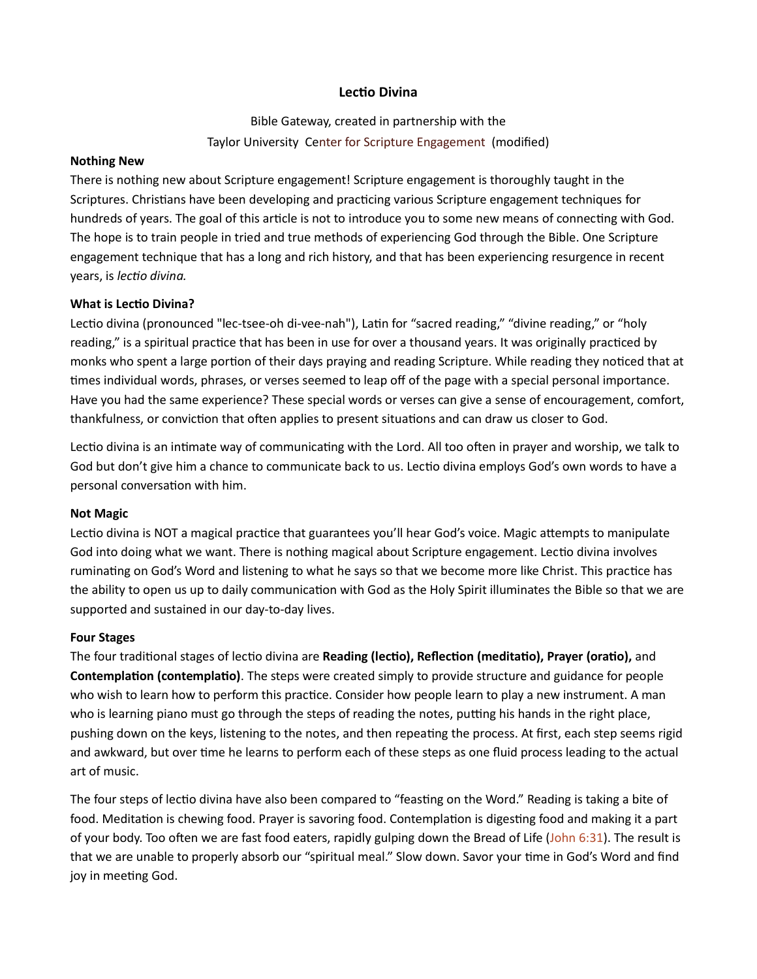# Lectio Divina

Bible Gateway, created in partnership with the Taylor University Center for Scripture Engagement (modified)

#### Nothing New

There is nothing new about Scripture engagement! Scripture engagement is thoroughly taught in the Scriptures. Christians have been developing and practicing various Scripture engagement techniques for hundreds of years. The goal of this article is not to introduce you to some new means of connecting with God. The hope is to train people in tried and true methods of experiencing God through the Bible. One Scripture engagement technique that has a long and rich history, and that has been experiencing resurgence in recent years, is lectio divina.

#### What is Lectio Divina?

Lectio divina (pronounced "lec-tsee-oh di-vee-nah"), Latin for "sacred reading," "divine reading," or "holy reading," is a spiritual practice that has been in use for over a thousand years. It was originally practiced by monks who spent a large portion of their days praying and reading Scripture. While reading they noticed that at times individual words, phrases, or verses seemed to leap off of the page with a special personal importance. Have you had the same experience? These special words or verses can give a sense of encouragement, comfort, thankfulness, or conviction that often applies to present situations and can draw us closer to God.

Lectio divina is an intimate way of communicating with the Lord. All too often in prayer and worship, we talk to God but don't give him a chance to communicate back to us. Lectio divina employs God's own words to have a personal conversation with him.

#### Not Magic

Lectio divina is NOT a magical practice that guarantees you'll hear God's voice. Magic attempts to manipulate God into doing what we want. There is nothing magical about Scripture engagement. Lectio divina involves ruminating on God's Word and listening to what he says so that we become more like Christ. This practice has the ability to open us up to daily communication with God as the Holy Spirit illuminates the Bible so that we are supported and sustained in our day-to-day lives.

#### Four Stages

The four traditional stages of lectio divina are Reading (lectio), Reflection (meditatio), Prayer (oratio), and Contemplation (contemplatio). The steps were created simply to provide structure and guidance for people who wish to learn how to perform this practice. Consider how people learn to play a new instrument. A man who is learning piano must go through the steps of reading the notes, putting his hands in the right place, pushing down on the keys, listening to the notes, and then repeating the process. At first, each step seems rigid and awkward, but over time he learns to perform each of these steps as one fluid process leading to the actual art of music.

The four steps of lectio divina have also been compared to "feasting on the Word." Reading is taking a bite of food. Meditation is chewing food. Prayer is savoring food. Contemplation is digesting food and making it a part of your body. Too often we are fast food eaters, rapidly gulping down the Bread of Life (John 6:31). The result is that we are unable to properly absorb our "spiritual meal." Slow down. Savor your time in God's Word and find joy in meeting God.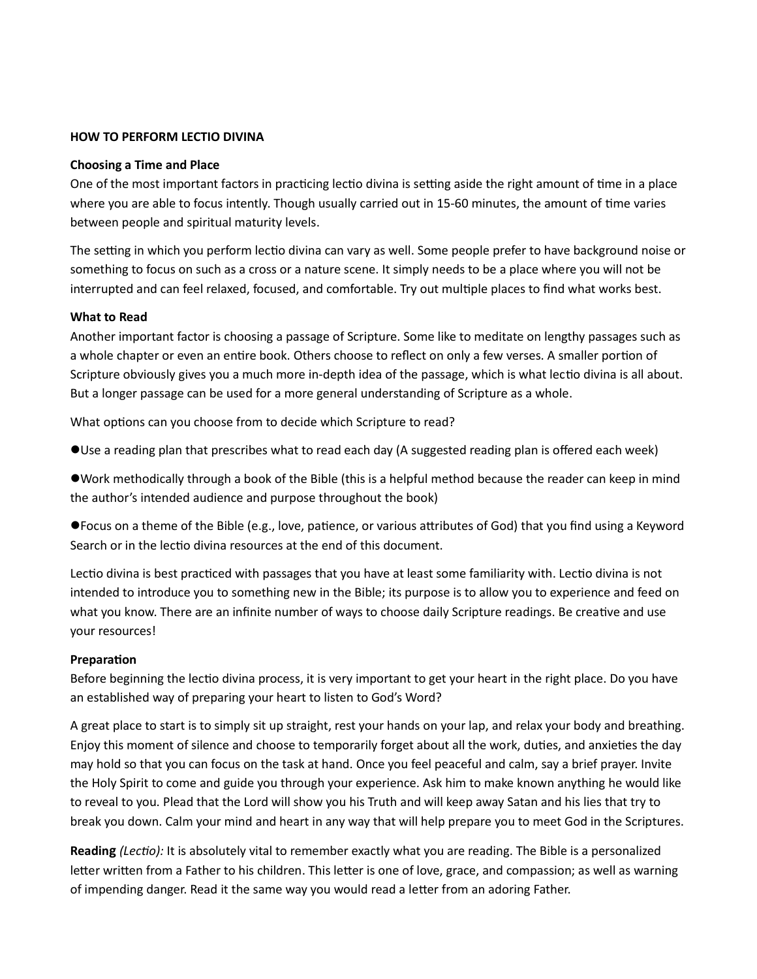#### HOW TO PERFORM LECTIO DIVINA

#### Choosing a Time and Place

One of the most important factors in practicing lectio divina is setting aside the right amount of time in a place where you are able to focus intently. Though usually carried out in 15-60 minutes, the amount of time varies between people and spiritual maturity levels.

The setting in which you perform lectio divina can vary as well. Some people prefer to have background noise or something to focus on such as a cross or a nature scene. It simply needs to be a place where you will not be interrupted and can feel relaxed, focused, and comfortable. Try out multiple places to find what works best.

#### What to Read

Another important factor is choosing a passage of Scripture. Some like to meditate on lengthy passages such as a whole chapter or even an entire book. Others choose to reflect on only a few verses. A smaller portion of Scripture obviously gives you a much more in-depth idea of the passage, which is what lectio divina is all about. But a longer passage can be used for a more general understanding of Scripture as a whole.

What options can you choose from to decide which Scripture to read?

Use a reading plan that prescribes what to read each day (A suggested reading plan is offered each week)

Work methodically through a book of the Bible (this is a helpful method because the reader can keep in mind the author's intended audience and purpose throughout the book)

● Focus on a theme of the Bible (e.g., love, patience, or various attributes of God) that you find using a Keyword Search or in the lectio divina resources at the end of this document.

Lectio divina is best practiced with passages that you have at least some familiarity with. Lectio divina is not intended to introduce you to something new in the Bible; its purpose is to allow you to experience and feed on what you know. There are an infinite number of ways to choose daily Scripture readings. Be creative and use your resources!

#### **Preparation**

Before beginning the lectio divina process, it is very important to get your heart in the right place. Do you have an established way of preparing your heart to listen to God's Word?

A great place to start is to simply sit up straight, rest your hands on your lap, and relax your body and breathing. Enjoy this moment of silence and choose to temporarily forget about all the work, duties, and anxieties the day may hold so that you can focus on the task at hand. Once you feel peaceful and calm, say a brief prayer. Invite the Holy Spirit to come and guide you through your experience. Ask him to make known anything he would like to reveal to you. Plead that the Lord will show you his Truth and will keep away Satan and his lies that try to break you down. Calm your mind and heart in any way that will help prepare you to meet God in the Scriptures.

Reading (Lectio): It is absolutely vital to remember exactly what you are reading. The Bible is a personalized letter written from a Father to his children. This letter is one of love, grace, and compassion; as well as warning of impending danger. Read it the same way you would read a letter from an adoring Father.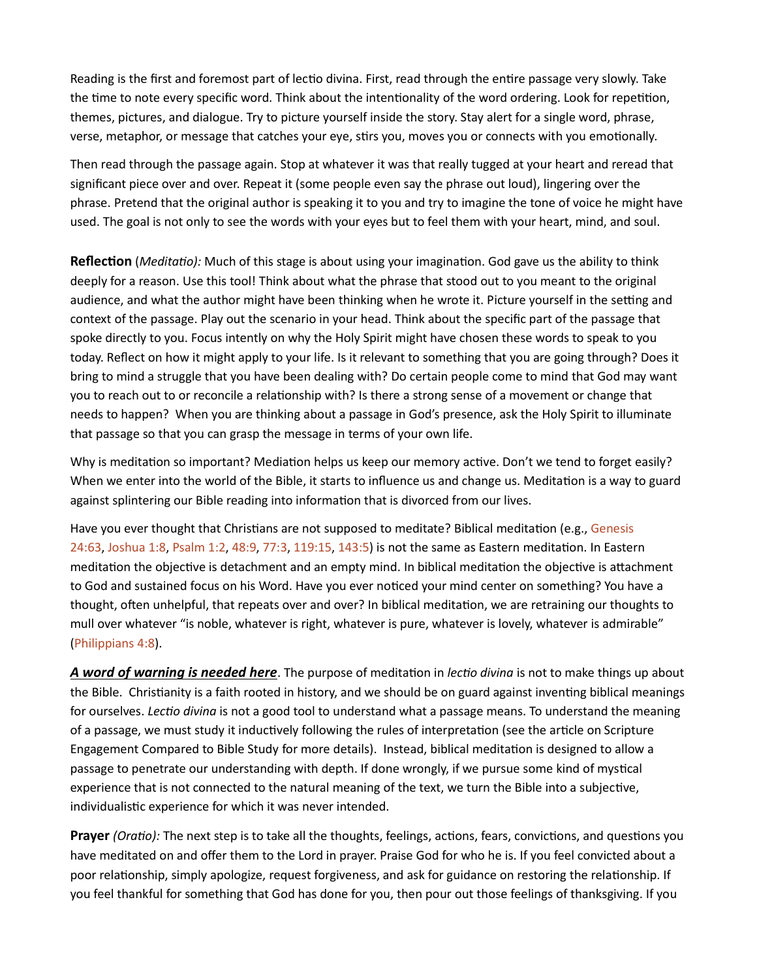Reading is the first and foremost part of lectio divina. First, read through the entire passage very slowly. Take the time to note every specific word. Think about the intentionality of the word ordering. Look for repetition, themes, pictures, and dialogue. Try to picture yourself inside the story. Stay alert for a single word, phrase, verse, metaphor, or message that catches your eye, stirs you, moves you or connects with you emotionally.

Then read through the passage again. Stop at whatever it was that really tugged at your heart and reread that significant piece over and over. Repeat it (some people even say the phrase out loud), lingering over the phrase. Pretend that the original author is speaking it to you and try to imagine the tone of voice he might have used. The goal is not only to see the words with your eyes but to feel them with your heart, mind, and soul.

Reflection (Meditatio): Much of this stage is about using your imagination. God gave us the ability to think deeply for a reason. Use this tool! Think about what the phrase that stood out to you meant to the original audience, and what the author might have been thinking when he wrote it. Picture yourself in the setting and context of the passage. Play out the scenario in your head. Think about the specific part of the passage that spoke directly to you. Focus intently on why the Holy Spirit might have chosen these words to speak to you today. Reflect on how it might apply to your life. Is it relevant to something that you are going through? Does it bring to mind a struggle that you have been dealing with? Do certain people come to mind that God may want you to reach out to or reconcile a relationship with? Is there a strong sense of a movement or change that needs to happen? When you are thinking about a passage in God's presence, ask the Holy Spirit to illuminate that passage so that you can grasp the message in terms of your own life.

Why is meditation so important? Mediation helps us keep our memory active. Don't we tend to forget easily? When we enter into the world of the Bible, it starts to influence us and change us. Meditation is a way to guard against splintering our Bible reading into information that is divorced from our lives.

Have you ever thought that Christians are not supposed to meditate? Biblical meditation (e.g., Genesis 24:63, Joshua 1:8, Psalm 1:2, 48:9, 77:3, 119:15, 143:5) is not the same as Eastern meditation. In Eastern meditation the objective is detachment and an empty mind. In biblical meditation the objective is attachment to God and sustained focus on his Word. Have you ever noticed your mind center on something? You have a thought, often unhelpful, that repeats over and over? In biblical meditation, we are retraining our thoughts to mull over whatever "is noble, whatever is right, whatever is pure, whatever is lovely, whatever is admirable" (Philippians 4:8).

A word of warning is needed here. The purpose of meditation in lectio divina is not to make things up about the Bible. Christianity is a faith rooted in history, and we should be on guard against inventing biblical meanings for ourselves. Lectio divina is not a good tool to understand what a passage means. To understand the meaning of a passage, we must study it inductively following the rules of interpretation (see the article on Scripture Engagement Compared to Bible Study for more details). Instead, biblical meditation is designed to allow a passage to penetrate our understanding with depth. If done wrongly, if we pursue some kind of mystical experience that is not connected to the natural meaning of the text, we turn the Bible into a subjective, individualistic experience for which it was never intended.

Prayer (Oratio): The next step is to take all the thoughts, feelings, actions, fears, convictions, and questions you have meditated on and offer them to the Lord in prayer. Praise God for who he is. If you feel convicted about a poor relationship, simply apologize, request forgiveness, and ask for guidance on restoring the relationship. If you feel thankful for something that God has done for you, then pour out those feelings of thanksgiving. If you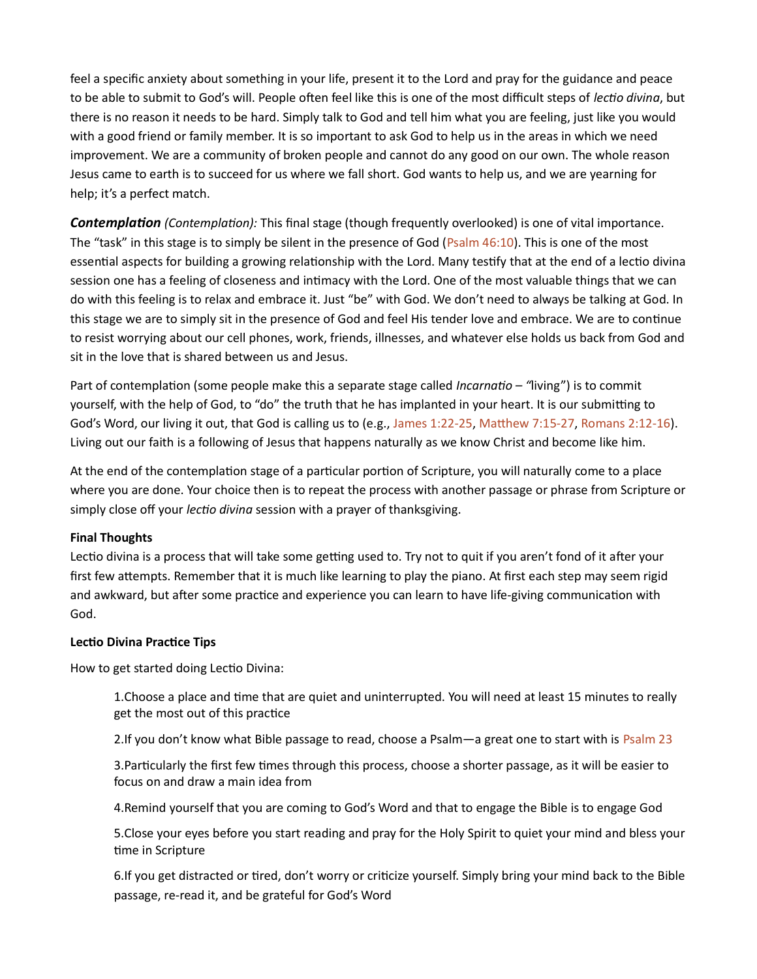feel a specific anxiety about something in your life, present it to the Lord and pray for the guidance and peace to be able to submit to God's will. People often feel like this is one of the most difficult steps of lectio divina, but there is no reason it needs to be hard. Simply talk to God and tell him what you are feeling, just like you would with a good friend or family member. It is so important to ask God to help us in the areas in which we need improvement. We are a community of broken people and cannot do any good on our own. The whole reason Jesus came to earth is to succeed for us where we fall short. God wants to help us, and we are yearning for help; it's a perfect match.

**Contemplation** (Contemplation): This final stage (though frequently overlooked) is one of vital importance. The "task" in this stage is to simply be silent in the presence of God (Psalm 46:10). This is one of the most essential aspects for building a growing relationship with the Lord. Many testify that at the end of a lectio divina session one has a feeling of closeness and intimacy with the Lord. One of the most valuable things that we can do with this feeling is to relax and embrace it. Just "be" with God. We don't need to always be talking at God. In this stage we are to simply sit in the presence of God and feel His tender love and embrace. We are to continue to resist worrying about our cell phones, work, friends, illnesses, and whatever else holds us back from God and sit in the love that is shared between us and Jesus.

Part of contemplation (some people make this a separate stage called *Incarnatio – "living"*) is to commit yourself, with the help of God, to "do" the truth that he has implanted in your heart. It is our submitting to God's Word, our living it out, that God is calling us to (e.g., James 1:22-25, Matthew 7:15-27, Romans 2:12-16). Living out our faith is a following of Jesus that happens naturally as we know Christ and become like him.

At the end of the contemplation stage of a particular portion of Scripture, you will naturally come to a place where you are done. Your choice then is to repeat the process with another passage or phrase from Scripture or simply close off your lectio divina session with a prayer of thanksgiving.

### Final Thoughts

Lectio divina is a process that will take some getting used to. Try not to quit if you aren't fond of it after your first few attempts. Remember that it is much like learning to play the piano. At first each step may seem rigid and awkward, but after some practice and experience you can learn to have life-giving communication with God.

# Lectio Divina Practice Tips

How to get started doing Lectio Divina:

1. Choose a place and time that are quiet and uninterrupted. You will need at least 15 minutes to really get the most out of this practice

2.If you don't know what Bible passage to read, choose a Psalm—a great one to start with is Psalm 23

3. Particularly the first few times through this process, choose a shorter passage, as it will be easier to focus on and draw a main idea from

4.Remind yourself that you are coming to God's Word and that to engage the Bible is to engage God

5.Close your eyes before you start reading and pray for the Holy Spirit to quiet your mind and bless your time in Scripture

6.If you get distracted or tired, don't worry or criticize yourself. Simply bring your mind back to the Bible passage, re-read it, and be grateful for God's Word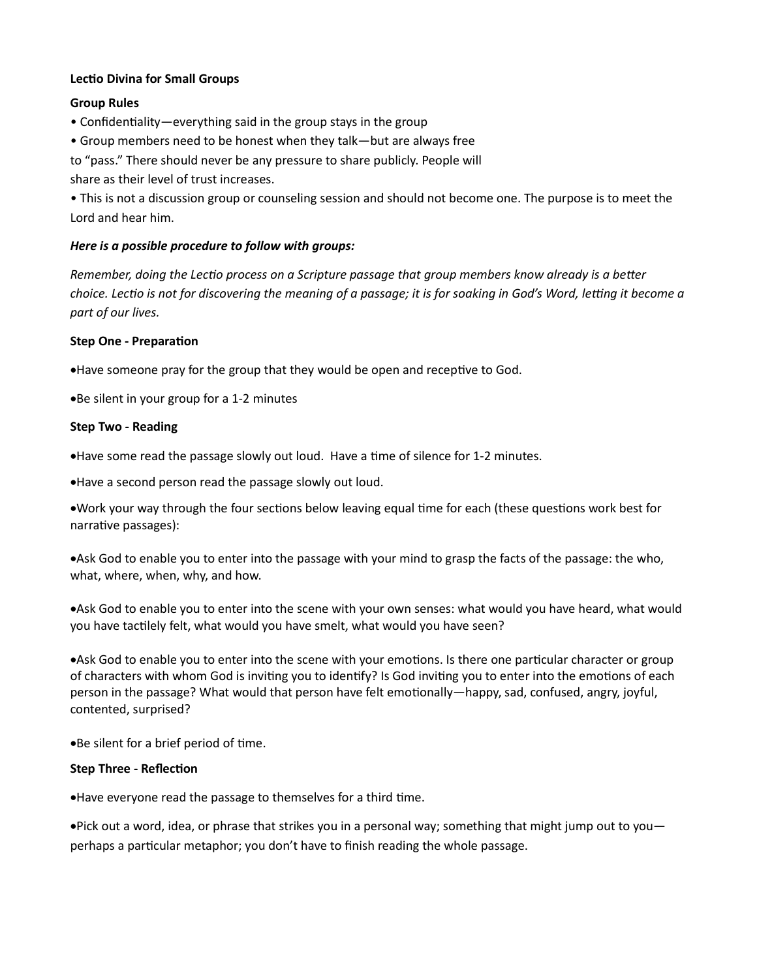### Lectio Divina for Small Groups

### Group Rules

- Confidentiality—everything said in the group stays in the group
- Group members need to be honest when they talk—but are always free

to "pass." There should never be any pressure to share publicly. People will

share as their level of trust increases.

• This is not a discussion group or counseling session and should not become one. The purpose is to meet the Lord and hear him.

# Here is a possible procedure to follow with groups:

Remember, doing the Lectio process on a Scripture passage that group members know already is a better choice. Lectio is not for discovering the meaning of a passage; it is for soaking in God's Word, letting it become a part of our lives.

### Step One - Preparation

• Have someone pray for the group that they would be open and receptive to God.

Be silent in your group for a 1-2 minutes

# Step Two - Reading

Have some read the passage slowly out loud. Have a time of silence for 1-2 minutes.

Have a second person read the passage slowly out loud.

Work your way through the four sections below leaving equal time for each (these questions work best for narrative passages):

Ask God to enable you to enter into the passage with your mind to grasp the facts of the passage: the who, what, where, when, why, and how.

Ask God to enable you to enter into the scene with your own senses: what would you have heard, what would you have tactilely felt, what would you have smelt, what would you have seen?

• Ask God to enable you to enter into the scene with your emotions. Is there one particular character or group of characters with whom God is inviting you to identify? Is God inviting you to enter into the emotions of each person in the passage? What would that person have felt emotionally—happy, sad, confused, angry, joyful, contented, surprised?

• Be silent for a brief period of time.

### Step Three - Reflection

● Have everyone read the passage to themselves for a third time.

Pick out a word, idea, or phrase that strikes you in a personal way; something that might jump out to you perhaps a particular metaphor; you don't have to finish reading the whole passage.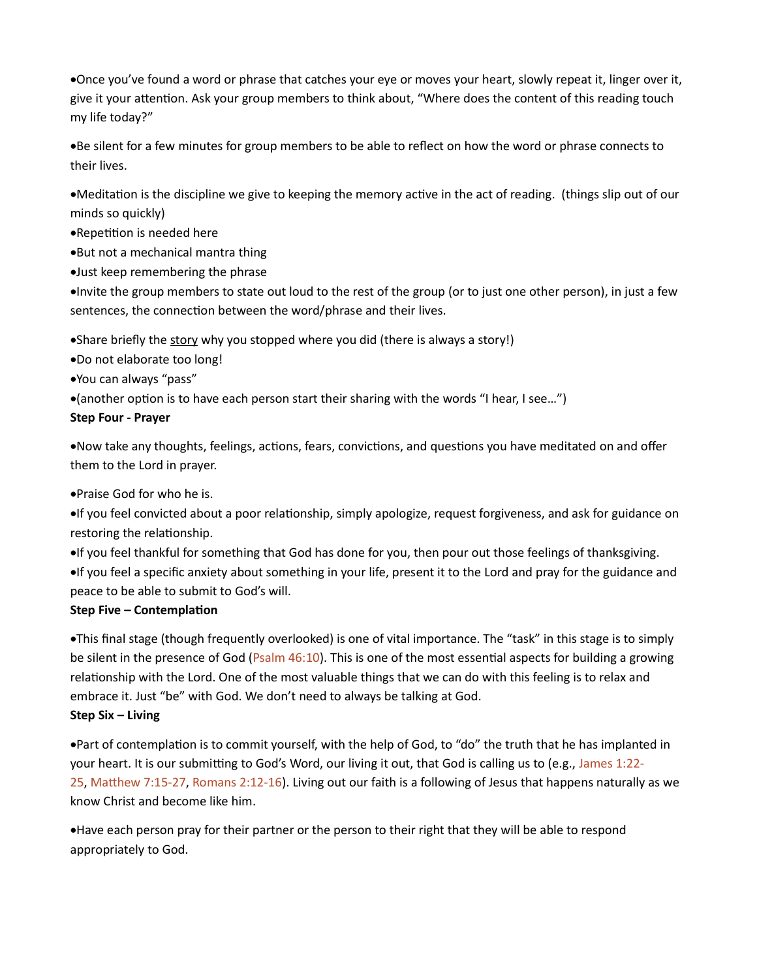Once you've found a word or phrase that catches your eye or moves your heart, slowly repeat it, linger over it, give it your attention. Ask your group members to think about, "Where does the content of this reading touch my life today?"

Be silent for a few minutes for group members to be able to reflect on how the word or phrase connects to their lives.

• Meditation is the discipline we give to keeping the memory active in the act of reading. (things slip out of our minds so quickly)

•Repetition is needed here

But not a mechanical mantra thing

Just keep remembering the phrase

Invite the group members to state out loud to the rest of the group (or to just one other person), in just a few sentences, the connection between the word/phrase and their lives.

• Share briefly the story why you stopped where you did (there is always a story!)

- Do not elaborate too long!
- You can always "pass"

 $\bullet$  (another option is to have each person start their sharing with the words "I hear, I see...")

# Step Four - Prayer

• Now take any thoughts, feelings, actions, fears, convictions, and questions you have meditated on and offer them to the Lord in prayer.

Praise God for who he is.

•If you feel convicted about a poor relationship, simply apologize, request forgiveness, and ask for guidance on restoring the relationship.

If you feel thankful for something that God has done for you, then pour out those feelings of thanksgiving.

If you feel a specific anxiety about something in your life, present it to the Lord and pray for the guidance and peace to be able to submit to God's will.

# Step Five – Contemplation

This final stage (though frequently overlooked) is one of vital importance. The "task" in this stage is to simply be silent in the presence of God (Psalm 46:10). This is one of the most essential aspects for building a growing relationship with the Lord. One of the most valuable things that we can do with this feeling is to relax and embrace it. Just "be" with God. We don't need to always be talking at God.

Step Six – Living

• Part of contemplation is to commit yourself, with the help of God, to "do" the truth that he has implanted in your heart. It is our submitting to God's Word, our living it out, that God is calling us to (e.g., James 1:22-25, Matthew 7:15-27, Romans 2:12-16). Living out our faith is a following of Jesus that happens naturally as we know Christ and become like him.

Have each person pray for their partner or the person to their right that they will be able to respond appropriately to God.